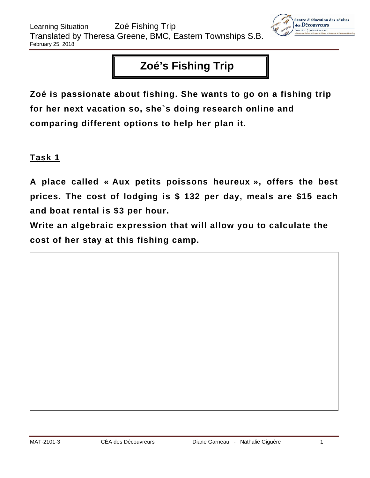

# **Zoé's Fishing Trip**

**Zoé is passionate about fishing. She wants to go on a fishing trip for her next vacation so, she`s doing research online and comparing different options to help her plan it.**

## **Task 1**

**A place called « Aux petits poissons heureux », offers the best prices. The cost of lodging is \$ 132 per day, meals are \$15 each and boat rental is \$3 per hour.**

**Write an algebraic expression that will allow you to calculate the cost of her stay at this fishing camp.**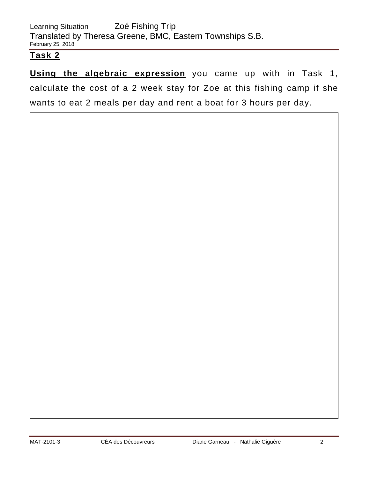**Using the algebraic expression** you came up with in Task 1, calculate the cost of a 2 week stay for Zoe at this fishing camp if she wants to eat 2 meals per day and rent a boat for 3 hours per day.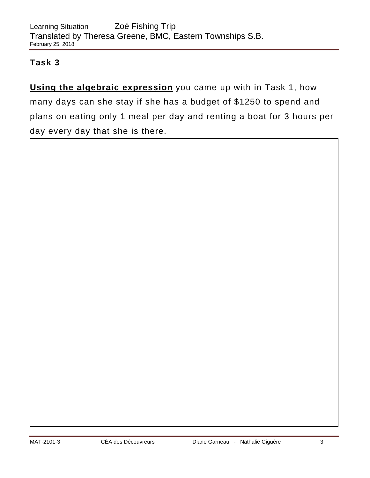**Using the algebraic expression** you came up with in Task 1, how many days can she stay if she has a budget of \$1250 to spend and plans on eating only 1 meal per day and renting a boat for 3 hours per day every day that she is there.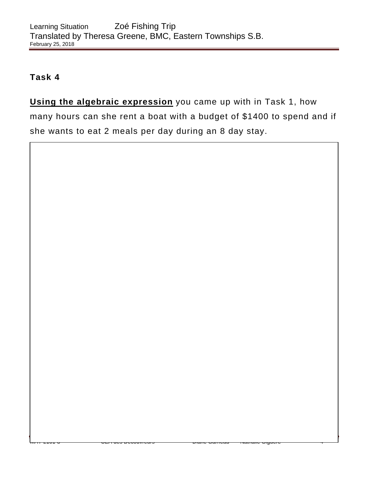**Using the algebraic expression** you came up with in Task 1, how many hours can she rent a boat with a budget of \$1400 to spend and if she wants to eat 2 meals per day during an 8 day stay.

MAT-2101-3 CÉA des Découvreurs Diane Garneau - Nathalie Giguère 4 Annual 4 Annual 4 Annual 4 Annual 4 Annual 4